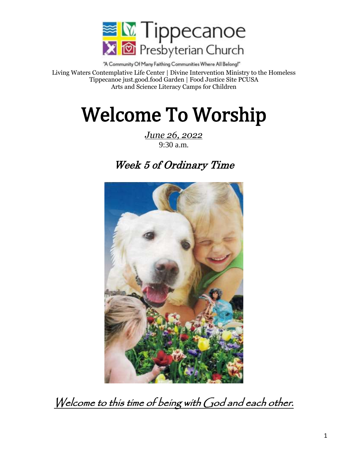

"A Community Of Many Faithing Communities Where All Belong!" Living Waters Contemplative Life Center | Divine Intervention Ministry to the Homeless Tippecanoe just.good.food Garden | Food Justice Site PCUSA Arts and Science Literacy Camps for Children

# Welcome To Worship

*June 26, 2022* 9:30 a.m.

## Week 5 of Ordinary Time



Welcome to this time of being with God and each other.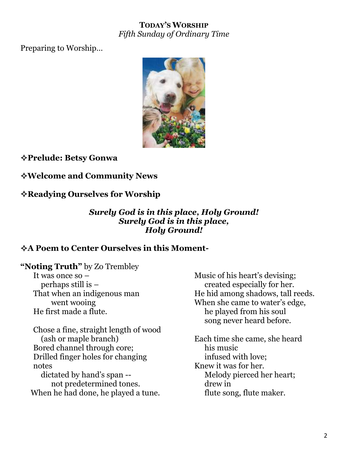#### **TODAY'S WORSHIP** *Fifth Sunday of Ordinary Time*

Preparing to Worship…



**Prelude: Betsy Gonwa**

#### **Welcome and Community News**

#### **Readying Ourselves for Worship**

#### *Surely God is in this place, Holy Ground! Surely God is in this place, Holy Ground!*

#### **A Poem to Center Ourselves in this Moment-**

**"Noting Truth"** by Zo Trembley

It was once so – perhaps still is – That when an indigenous man went wooing He first made a flute.

Chose a fine, straight length of wood (ash or maple branch) Bored channel through core; Drilled finger holes for changing notes dictated by hand's span - not predetermined tones. When he had done, he played a tune.

Music of his heart's devising; created especially for her. He hid among shadows, tall reeds. When she came to water's edge, he played from his soul song never heard before.

Each time she came, she heard his music infused with love; Knew it was for her. Melody pierced her heart; drew in flute song, flute maker.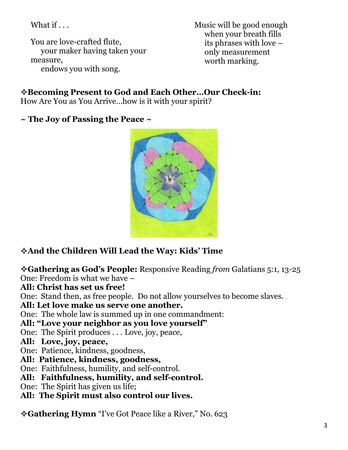What if . . .

You are love-crafted flute, your maker having taken your measure, endows you with song.

Music will be good enough when your breath fills its phrases with love – only measurement worth marking.

#### **Becoming Present to God and Each Other…Our Check-in:**

How Are You as You Arrive…how is it with your spirit?

**~ The Joy of Passing the Peace ~**



### **And the Children Will Lead the Way: Kids' Time**

**Gathering as God's People:** Responsive Reading *from* Galatians 5:1, 13-25 One: Freedom is what we have –

**All: Christ has set us free!**

One: Stand then, as free people. Do not allow yourselves to become slaves.

#### **All: Let love make us serve one another.**

One: The whole law is summed up in one commandment:

#### **All: "Love your neighbor as you love yourself"**

One: The Spirit produces . . . Love, joy, peace,

- **All: Love, joy, peace,**
- One: Patience, kindness, goodness,
- **All: Patience, kindness, goodness,**
- One: Faithfulness, humility, and self-control.
- **All: Faithfulness, humility, and self-control.**
- One: The Spirit has given us life;
- **All: The Spirit must also control our lives.**

**Gathering Hymn** "I've Got Peace like a River," No. 623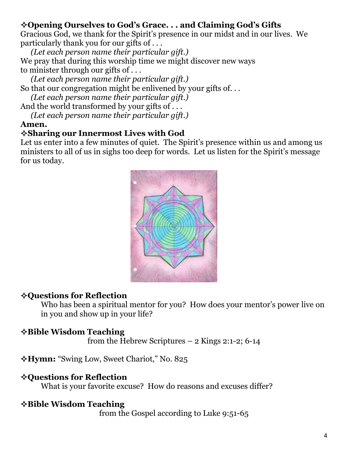#### **Opening Ourselves to God's Grace. . . and Claiming God's Gifts**

Gracious God, we thank for the Spirit's presence in our midst and in our lives. We particularly thank you for our gifts of . . .

*(Let each person name their particular gift.)* We pray that during this worship time we might discover new ways to minister through our gifts of . . .

*(Let each person name their particular gift.)* So that our congregation might be enlivened by your gifts of. . .

*(Let each person name their particular gift.)*

And the world transformed by your gifts of ...

*(Let each person name their particular gift.)*

#### **Amen.**

#### **Sharing our Innermost Lives with God**

Let us enter into a few minutes of quiet. The Spirit's presence within us and among us ministers to all of us in sighs too deep for words. Let us listen for the Spirit's message for us today.



#### **Questions for Reflection**

Who has been a spiritual mentor for you? How does your mentor's power live on in you and show up in your life?

#### **Bible Wisdom Teaching**

from the Hebrew Scriptures – 2 Kings 2:1-2; 6-14

**Hymn:** "Swing Low, Sweet Chariot," No. 825

#### **Questions for Reflection**

What is your favorite excuse? How do reasons and excuses differ?

#### **Bible Wisdom Teaching**

from the Gospel according to Luke 9:51-65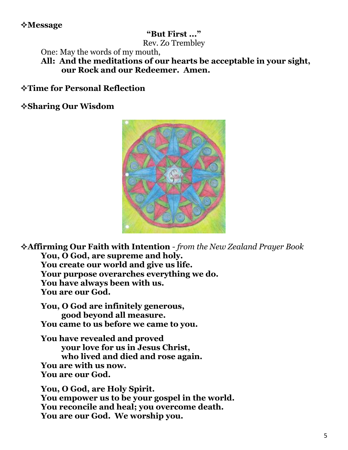#### **Message**

#### **"But First ..."**

Rev. Zo Trembley

One: May the words of my mouth,

**All: And the meditations of our hearts be acceptable in your sight, our Rock and our Redeemer. Amen.**

**Time for Personal Reflection**

**Sharing Our Wisdom**



**Affirming Our Faith with Intention** *- from the New Zealand Prayer Book* **You, O God, are supreme and holy. You create our world and give us life. Your purpose overarches everything we do. You have always been with us. You are our God.**

**You, O God are infinitely generous, good beyond all measure. You came to us before we came to you.**

**You have revealed and proved your love for us in Jesus Christ, who lived and died and rose again. You are with us now. You are our God.**

**You, O God, are Holy Spirit. You empower us to be your gospel in the world. You reconcile and heal; you overcome death. You are our God. We worship you.**